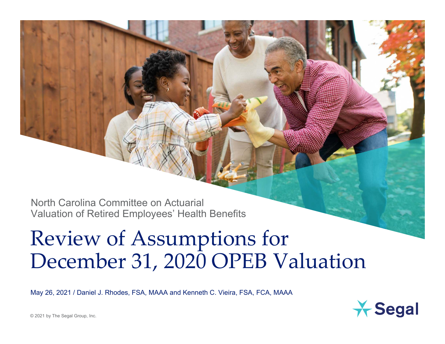North Carolina Committee on Actuarial Valuation of Retired Employees' Health Benefits

# Review of Assumptions for December 31, 2020 OPEB Valuation

May 26, 2021 / Daniel J. Rhodes, FSA, MAAA and Kenneth C. Vieira, FSA, FCA, MAAA

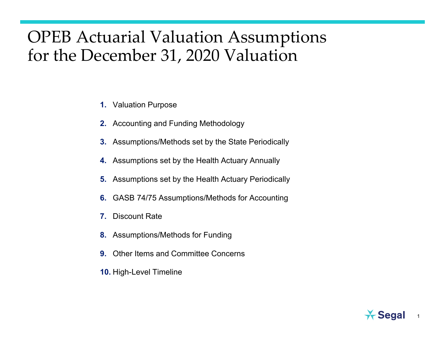#### OPEB Actuarial Valuation Assumptions for the December 31, 2020 Valuation

- **1.**Valuation Purpose
- **2.** Accounting and Funding Methodology
- **3.** Assumptions/Methods set by the State Periodically
- **4.** Assumptions set by the Health Actuary Annually
- **5.** Assumptions set by the Health Actuary Periodically
- **6.** GASB 74/75 Assumptions/Methods for Accounting
- **7.**Discount Rate
- **8.** Assumptions/Methods for Funding
- **9.** Other Items and Committee Concerns
- **10.** High-Level Timeline



1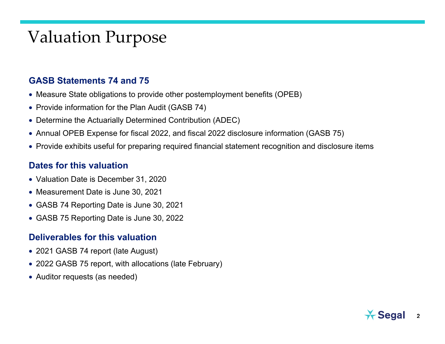#### Valuation Purpose

#### **GASB Statements 74 and 75**

- Measure State obligations to provide other postemployment benefits (OPEB)
- Provide information for the Plan Audit (GASB 74)
- Determine the Actuarially Determined Contribution (ADEC)
- Annual OPEB Expense for fiscal 2022, and fiscal 2022 disclosure information (GASB 75)
- Provide exhibits useful for preparing required financial statement recognition and disclosure items

#### **Dates for this valuation**

- Valuation Date is December 31, 2020
- Measurement Date is June 30, 2021
- GASB 74 Reporting Date is June 30, 2021
- GASB 75 Reporting Date is June 30, 2022

#### **Deliverables for this valuation**

- 2021 GASB 74 report (late August)
- 2022 GASB 75 report, with allocations (late February)
- Auditor requests (as needed)

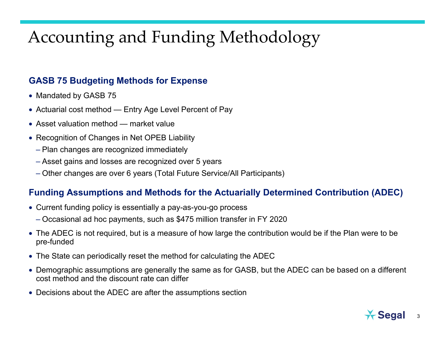# Accounting and Funding Methodology

#### **GASB 75 Budgeting Methods for Expense**

- Mandated by GASB 75
- Actuarial cost method Entry Age Level Percent of Pay
- Asset valuation method market value
- Recognition of Changes in Net OPEB Liability
	- Plan changes are recognized immediately
	- Asset gains and losses are recognized over 5 years
	- Other changes are over 6 years (Total Future Service/All Participants)

#### **Funding Assumptions and Methods for the Actuarially Determined Contribution (ADEC)**

- Current funding policy is essentially a pay-as-you-go process
	- Occasional ad hoc payments, such as \$475 million transfer in FY 2020
- The ADEC is not required, but is a measure of how large the contribution would be if the Plan were to be pre-funded
- The State can periodically reset the method for calculating the ADEC
- Demographic assumptions are generally the same as for GASB, but the ADEC can be based on a different cost method and the discount rate can differ
- Decisions about the ADEC are after the assumptions section

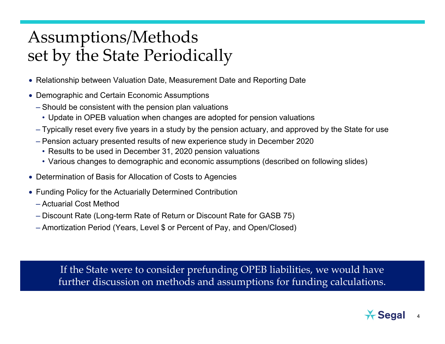# Assumptions/Methods set by the State Periodically

- Relationship between Valuation Date, Measurement Date and Reporting Date
- Demographic and Certain Economic Assumptions
	- Should be consistent with the pension plan valuations
		- Update in OPEB valuation when changes are adopted for pension valuations
	- Typically reset every five years in a study by the pension actuary, and approved by the State for use
	- Pension actuary presented results of new experience study in December 2020
	- Results to be used in December 31, 2020 pension valuations
	- Various changes to demographic and economic assumptions (described on following slides)
- Determination of Basis for Allocation of Costs to Agencies
- Funding Policy for the Actuarially Determined Contribution
	- Actuarial Cost Method
	- Discount Rate (Long-term Rate of Return or Discount Rate for GASB 75)
	- Amortization Period (Years, Level \$ or Percent of Pay, and Open/Closed)

If the State were to consider prefunding OPEB liabilities, we would have further discussion on methods and assumptions for funding calculations.

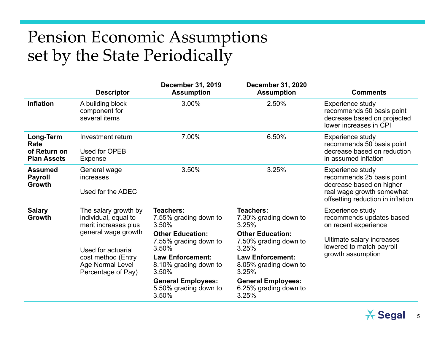# Pension Economic Assumptions set by the State Periodically

|                                                         | <b>Descriptor</b>                                                                                                                                                                 | <b>December 31, 2019</b><br><b>Assumption</b>                                                                                                                                                                                        | <b>December 31, 2020</b><br><b>Assumption</b>                                                                                                                                                                                        | <b>Comments</b>                                                                                                                                    |
|---------------------------------------------------------|-----------------------------------------------------------------------------------------------------------------------------------------------------------------------------------|--------------------------------------------------------------------------------------------------------------------------------------------------------------------------------------------------------------------------------------|--------------------------------------------------------------------------------------------------------------------------------------------------------------------------------------------------------------------------------------|----------------------------------------------------------------------------------------------------------------------------------------------------|
| <b>Inflation</b>                                        | A building block<br>component for<br>several items                                                                                                                                | 3.00%                                                                                                                                                                                                                                | 2.50%                                                                                                                                                                                                                                | Experience study<br>recommends 50 basis point<br>decrease based on projected<br>lower increases in CPI                                             |
| Long-Term<br>Rate<br>of Return on<br><b>Plan Assets</b> | Investment return<br>Used for OPEB<br>Expense                                                                                                                                     | 7.00%                                                                                                                                                                                                                                | 6.50%                                                                                                                                                                                                                                | Experience study<br>recommends 50 basis point<br>decrease based on reduction<br>in assumed inflation                                               |
| <b>Assumed</b><br><b>Payroll</b><br>Growth              | General wage<br>increases<br>Used for the ADEC                                                                                                                                    | 3.50%                                                                                                                                                                                                                                | 3.25%                                                                                                                                                                                                                                | Experience study<br>recommends 25 basis point<br>decrease based on higher<br>real wage growth somewhat<br>offsetting reduction in inflation        |
| <b>Salary</b><br>Growth                                 | The salary growth by<br>individual, equal to<br>merit increases plus<br>general wage growth<br>Used for actuarial<br>cost method (Entry<br>Age Normal Level<br>Percentage of Pay) | Teachers:<br>7.55% grading down to<br>3.50%<br><b>Other Education:</b><br>7.55% grading down to<br>3.50%<br><b>Law Enforcement:</b><br>8.10% grading down to<br>3.50%<br><b>General Employees:</b><br>5.50% grading down to<br>3.50% | Teachers:<br>7.30% grading down to<br>3.25%<br><b>Other Education:</b><br>7.50% grading down to<br>3.25%<br><b>Law Enforcement:</b><br>8.05% grading down to<br>3.25%<br><b>General Employees:</b><br>6.25% grading down to<br>3.25% | Experience study<br>recommends updates based<br>on recent experience<br>Ultimate salary increases<br>lowered to match payroll<br>growth assumption |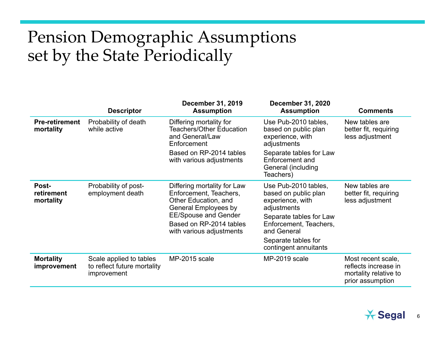# Pension Demographic Assumptions set by the State Periodically

|                                    | <b>Descriptor</b>                                                     | <b>December 31, 2019</b><br><b>Assumption</b>                                                                                                                                               | <b>December 31, 2020</b><br><b>Assumption</b>                                                                                                                                                       | <b>Comments</b>                                                                         |
|------------------------------------|-----------------------------------------------------------------------|---------------------------------------------------------------------------------------------------------------------------------------------------------------------------------------------|-----------------------------------------------------------------------------------------------------------------------------------------------------------------------------------------------------|-----------------------------------------------------------------------------------------|
| <b>Pre-retirement</b><br>mortality | Probability of death<br>while active                                  | Differing mortality for<br>Teachers/Other Education<br>and General/Law<br>Enforcement                                                                                                       | Use Pub-2010 tables,<br>based on public plan<br>experience, with<br>adjustments                                                                                                                     | New tables are<br>better fit, requiring<br>less adjustment                              |
|                                    |                                                                       | Based on RP-2014 tables<br>with various adjustments                                                                                                                                         | Separate tables for Law<br>Enforcement and<br>General (including<br>Teachers)                                                                                                                       |                                                                                         |
| Post-<br>retirement<br>mortality   | Probability of post-<br>employment death                              | Differing mortality for Law<br>Enforcement, Teachers,<br>Other Education, and<br>General Employees by<br><b>EE/Spouse and Gender</b><br>Based on RP-2014 tables<br>with various adjustments | Use Pub-2010 tables,<br>based on public plan<br>experience, with<br>adjustments<br>Separate tables for Law<br>Enforcement, Teachers,<br>and General<br>Separate tables for<br>contingent annuitants | New tables are<br>better fit, requiring<br>less adjustment                              |
| <b>Mortality</b><br>improvement    | Scale applied to tables<br>to reflect future mortality<br>improvement | MP-2015 scale                                                                                                                                                                               | MP-2019 scale                                                                                                                                                                                       | Most recent scale,<br>reflects increase in<br>mortality relative to<br>prior assumption |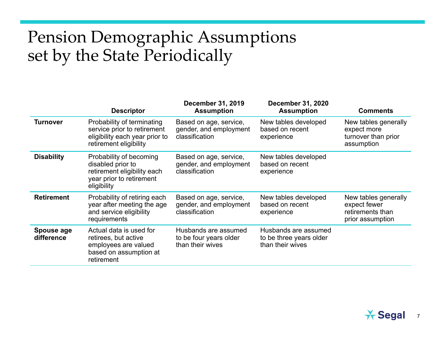# Pension Demographic Assumptions set by the State Periodically

|                          | <b>Descriptor</b>                                                                                                      | <b>December 31, 2019</b><br><b>Assumption</b>                      | <b>December 31, 2020</b><br><b>Assumption</b>                       | <b>Comments</b>                                                              |
|--------------------------|------------------------------------------------------------------------------------------------------------------------|--------------------------------------------------------------------|---------------------------------------------------------------------|------------------------------------------------------------------------------|
| <b>Turnover</b>          | Probability of terminating<br>service prior to retirement<br>eligibility each year prior to<br>retirement eligibility  | Based on age, service,<br>gender, and employment<br>classification | New tables developed<br>based on recent<br>experience               | New tables generally<br>expect more<br>turnover than prior<br>assumption     |
| <b>Disability</b>        | Probability of becoming<br>disabled prior to<br>retirement eligibility each<br>year prior to retirement<br>eligibility | Based on age, service,<br>gender, and employment<br>classification | New tables developed<br>based on recent<br>experience               |                                                                              |
| <b>Retirement</b>        | Probability of retiring each<br>year after meeting the age<br>and service eligibility<br>requirements                  | Based on age, service,<br>gender, and employment<br>classification | New tables developed<br>based on recent<br>experience               | New tables generally<br>expect fewer<br>retirements than<br>prior assumption |
| Spouse age<br>difference | Actual data is used for<br>retirees, but active<br>employees are valued<br>based on assumption at<br>retirement        | Husbands are assumed<br>to be four years older<br>than their wives | Husbands are assumed<br>to be three years older<br>than their wives |                                                                              |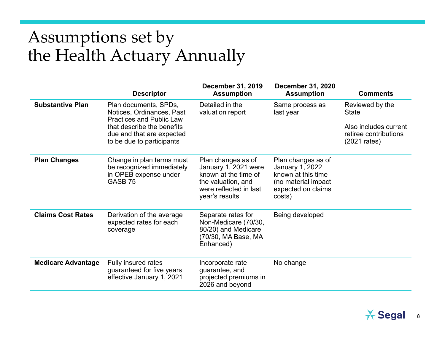# Assumptions set by the Health Actuary Annually

|                           | <b>Descriptor</b>                                                                                                                                                             | <b>December 31, 2019</b><br><b>Assumption</b>                                                                                        | <b>December 31, 2020</b><br><b>Assumption</b>                                                                      | <b>Comments</b>                                                                                             |
|---------------------------|-------------------------------------------------------------------------------------------------------------------------------------------------------------------------------|--------------------------------------------------------------------------------------------------------------------------------------|--------------------------------------------------------------------------------------------------------------------|-------------------------------------------------------------------------------------------------------------|
| <b>Substantive Plan</b>   | Plan documents, SPDs,<br>Notices, Ordinances, Past<br><b>Practices and Public Law</b><br>that describe the benefits<br>due and that are expected<br>to be due to participants | Detailed in the<br>valuation report                                                                                                  | Same process as<br>last year                                                                                       | Reviewed by the<br><b>State</b><br>Also includes current<br>retiree contributions<br>$(2021 \text{ rates})$ |
| <b>Plan Changes</b>       | Change in plan terms must<br>be recognized immediately<br>in OPEB expense under<br>GASB 75                                                                                    | Plan changes as of<br>January 1, 2021 were<br>known at the time of<br>the valuation, and<br>were reflected in last<br>year's results | Plan changes as of<br>January 1, 2022<br>known at this time<br>(no material impact<br>expected on claims<br>costs) |                                                                                                             |
| <b>Claims Cost Rates</b>  | Derivation of the average<br>expected rates for each<br>coverage                                                                                                              | Separate rates for<br>Non-Medicare (70/30,<br>80/20) and Medicare<br>(70/30, MA Base, MA<br>Enhanced)                                | Being developed                                                                                                    |                                                                                                             |
| <b>Medicare Advantage</b> | Fully insured rates<br>guaranteed for five years<br>effective January 1, 2021                                                                                                 | Incorporate rate<br>guarantee, and<br>projected premiums in<br>2026 and beyond                                                       | No change                                                                                                          |                                                                                                             |

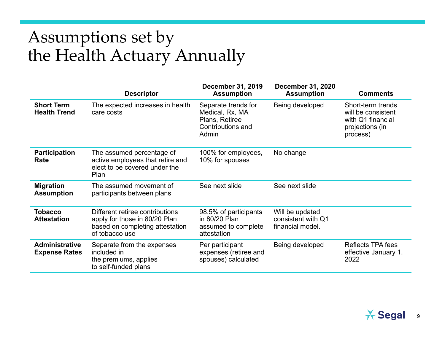# Assumptions set by the Health Actuary Annually

|                                               | <b>Descriptor</b>                                                                                                     | <b>December 31, 2019</b><br><b>Assumption</b>                                          | <b>December 31, 2020</b><br><b>Assumption</b>             | <b>Comments</b>                                                                             |
|-----------------------------------------------|-----------------------------------------------------------------------------------------------------------------------|----------------------------------------------------------------------------------------|-----------------------------------------------------------|---------------------------------------------------------------------------------------------|
| <b>Short Term</b><br><b>Health Trend</b>      | The expected increases in health<br>care costs                                                                        | Separate trends for<br>Medical, Rx, MA<br>Plans, Retiree<br>Contributions and<br>Admin | Being developed                                           | Short-term trends<br>will be consistent<br>with Q1 financial<br>projections (in<br>process) |
| <b>Participation</b><br>Rate                  | The assumed percentage of<br>active employees that retire and<br>elect to be covered under the<br>Plan                | 100% for employees,<br>10% for spouses                                                 | No change                                                 |                                                                                             |
| <b>Migration</b><br><b>Assumption</b>         | The assumed movement of<br>participants between plans                                                                 | See next slide                                                                         | See next slide                                            |                                                                                             |
| <b>Tobacco</b><br><b>Attestation</b>          | Different retiree contributions<br>apply for those in 80/20 Plan<br>based on completing attestation<br>of tobacco use | 98.5% of participants<br>in 80/20 Plan<br>assumed to complete<br>attestation           | Will be updated<br>consistent with Q1<br>financial model. |                                                                                             |
| <b>Administrative</b><br><b>Expense Rates</b> | Separate from the expenses<br>included in<br>the premiums, applies<br>to self-funded plans                            | Per participant<br>expenses (retiree and<br>spouses) calculated                        | Being developed                                           | <b>Reflects TPA fees</b><br>effective January 1,<br>2022                                    |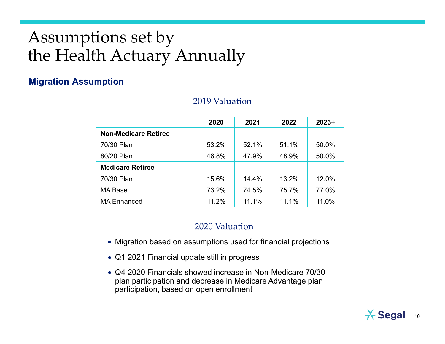# Assumptions set by the Health Actuary Annually

#### **Migration Assumption**

#### 2019 Valuation

|                             | 2020  | 2021  | 2022  | $2023+$ |
|-----------------------------|-------|-------|-------|---------|
| <b>Non-Medicare Retiree</b> |       |       |       |         |
| 70/30 Plan                  | 53.2% | 52.1% | 51.1% | 50.0%   |
| 80/20 Plan                  | 46.8% | 47.9% | 48.9% | 50.0%   |
| <b>Medicare Retiree</b>     |       |       |       |         |
| 70/30 Plan                  | 15.6% | 14.4% | 13.2% | 12.0%   |
| <b>MA Base</b>              | 73.2% | 74.5% | 75.7% | 77.0%   |
| <b>MA Enhanced</b>          | 11.2% | 11.1% | 11.1% | 11.0%   |

#### 2020 Valuation

- Migration based on assumptions used for financial projections
- Q1 2021 Financial update still in progress
- Q4 2020 Financials showed increase in Non-Medicare 70/30 plan participation and decrease in Medicare Advantage plan participation, based on open enrollment

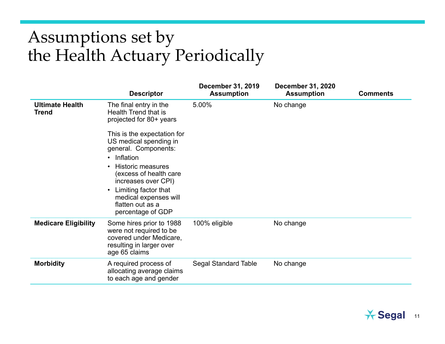# Assumptions set by the Health Actuary Periodically

|                                        | <b>Descriptor</b>                                                                                                                                                                                                                                                                                                                                                        | <b>December 31, 2019</b><br><b>Assumption</b> | <b>December 31, 2020</b><br><b>Assumption</b> | <b>Comments</b> |
|----------------------------------------|--------------------------------------------------------------------------------------------------------------------------------------------------------------------------------------------------------------------------------------------------------------------------------------------------------------------------------------------------------------------------|-----------------------------------------------|-----------------------------------------------|-----------------|
| <b>Ultimate Health</b><br><b>Trend</b> | The final entry in the<br>Health Trend that is<br>projected for 80+ years<br>This is the expectation for<br>US medical spending in<br>general. Components:<br>Inflation<br>$\bullet$<br><b>Historic measures</b><br>$\bullet$<br>(excess of health care<br>increases over CPI)<br>Limiting factor that<br>medical expenses will<br>flatten out as a<br>percentage of GDP | 5.00%                                         | No change                                     |                 |
| <b>Medicare Eligibility</b>            | Some hires prior to 1988<br>were not required to be<br>covered under Medicare,<br>resulting in larger over<br>age 65 claims                                                                                                                                                                                                                                              | 100% eligible                                 | No change                                     |                 |
| <b>Morbidity</b>                       | A required process of<br>allocating average claims<br>to each age and gender                                                                                                                                                                                                                                                                                             | <b>Segal Standard Table</b>                   | No change                                     |                 |
|                                        |                                                                                                                                                                                                                                                                                                                                                                          |                                               |                                               |                 |

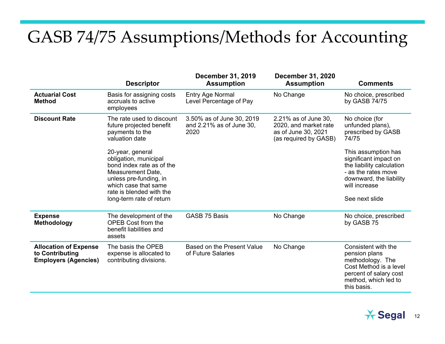## GASB 74/75 Assumptions/Methods for Accounting

|                                                                                | <b>Descriptor</b>                                                                                                                                                                                     | <b>December 31, 2019</b><br><b>Assumption</b>                 | <b>December 31, 2020</b><br><b>Assumption</b>                                                 | <b>Comments</b>                                                                                                                                                |
|--------------------------------------------------------------------------------|-------------------------------------------------------------------------------------------------------------------------------------------------------------------------------------------------------|---------------------------------------------------------------|-----------------------------------------------------------------------------------------------|----------------------------------------------------------------------------------------------------------------------------------------------------------------|
| <b>Actuarial Cost</b><br><b>Method</b>                                         | Basis for assigning costs<br>accruals to active<br>employees                                                                                                                                          | <b>Entry Age Normal</b><br>Level Percentage of Pay            | No Change                                                                                     | No choice, prescribed<br>by GASB 74/75                                                                                                                         |
| <b>Discount Rate</b>                                                           | The rate used to discount<br>future projected benefit<br>payments to the<br>valuation date                                                                                                            | 3.50% as of June 30, 2019<br>and 2.21% as of June 30,<br>2020 | 2.21% as of June 30,<br>2020, and market rate<br>as of June 30, 2021<br>(as required by GASB) | No choice (for<br>unfunded plans),<br>prescribed by GASB<br>74/75                                                                                              |
|                                                                                | 20-year, general<br>obligation, municipal<br>bond index rate as of the<br>Measurement Date,<br>unless pre-funding, in<br>which case that same<br>rate is blended with the<br>long-term rate of return |                                                               |                                                                                               | This assumption has<br>significant impact on<br>the liability calculation<br>- as the rates move<br>downward, the liability<br>will increase<br>See next slide |
| <b>Expense</b><br><b>Methodology</b>                                           | The development of the<br><b>OPEB Cost from the</b><br>benefit liabilities and<br>assets                                                                                                              | <b>GASB 75 Basis</b>                                          | No Change                                                                                     | No choice, prescribed<br>by GASB 75                                                                                                                            |
| <b>Allocation of Expense</b><br>to Contributing<br><b>Employers (Agencies)</b> | The basis the OPEB<br>expense is allocated to<br>contributing divisions.                                                                                                                              | Based on the Present Value<br>of Future Salaries              | No Change                                                                                     | Consistent with the<br>pension plans<br>methodology. The<br>Cost Method is a level<br>percent of salary cost<br>method, which led to<br>this basis.            |

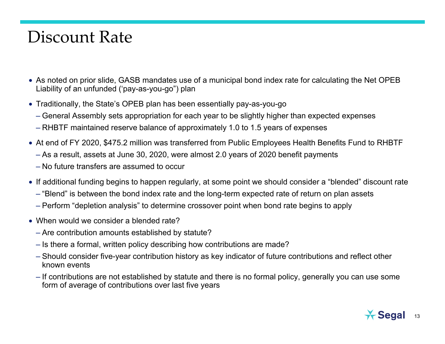#### Discount Rate

- As noted on prior slide, GASB mandates use of a municipal bond index rate for calculating the Net OPEB Liability of an unfunded ('pay-as-you-go") plan
- Traditionally, the State's OPEB plan has been essentially pay-as-you-go
	- General Assembly sets appropriation for each year to be slightly higher than expected expenses
	- RHBTF maintained reserve balance of approximately 1.0 to 1.5 years of expenses
- At end of FY 2020, \$475.2 million was transferred from Public Employees Health Benefits Fund to RHBTF
	- As a result, assets at June 30, 2020, were almost 2.0 years of 2020 benefit payments
	- No future transfers are assumed to occur
- If additional funding begins to happen regularly, at some point we should consider a "blended" discount rate
	- "Blend" is between the bond index rate and the long-term expected rate of return on plan assets
	- Perform "depletion analysis" to determine crossover point when bond rate begins to apply
- When would we consider a blended rate?
	- Are contribution amounts established by statute?
	- Is there a formal, written policy describing how contributions are made?
	- Should consider five-year contribution history as key indicator of future contributions and reflect other known events
	- If contributions are not established by statute and there is no formal policy, generally you can use some form of average of contributions over last five years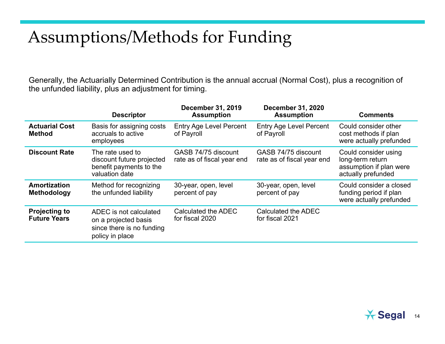# Assumptions/Methods for Funding

Generally, the Actuarially Determined Contribution is the annual accrual (Normal Cost), plus a recognition of the unfunded liability, plus an adjustment for timing.

|                                             | <b>Descriptor</b>                                                                              | <b>December 31, 2019</b><br><b>Assumption</b>     | <b>December 31, 2020</b><br><b>Assumption</b>     | <b>Comments</b>                                                                           |
|---------------------------------------------|------------------------------------------------------------------------------------------------|---------------------------------------------------|---------------------------------------------------|-------------------------------------------------------------------------------------------|
| <b>Actuarial Cost</b><br><b>Method</b>      | Basis for assigning costs<br>accruals to active<br>employees                                   | <b>Entry Age Level Percent</b><br>of Payroll      | <b>Entry Age Level Percent</b><br>of Payroll      | Could consider other<br>cost methods if plan<br>were actually prefunded                   |
| <b>Discount Rate</b>                        | The rate used to<br>discount future projected<br>benefit payments to the<br>valuation date     | GASB 74/75 discount<br>rate as of fiscal year end | GASB 74/75 discount<br>rate as of fiscal year end | Could consider using<br>long-term return<br>assumption if plan were<br>actually prefunded |
| Amortization<br>Methodology                 | Method for recognizing<br>the unfunded liability                                               | 30-year, open, level<br>percent of pay            | 30-year, open, level<br>percent of pay            | Could consider a closed<br>funding period if plan<br>were actually prefunded              |
| <b>Projecting to</b><br><b>Future Years</b> | ADEC is not calculated<br>on a projected basis<br>since there is no funding<br>policy in place | Calculated the ADEC<br>for fiscal 2020            | Calculated the ADEC<br>for fiscal 2021            |                                                                                           |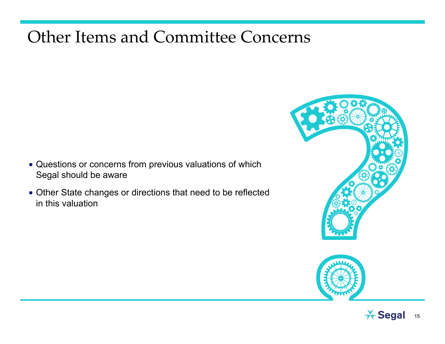#### Other Items and Committee Concerns

- Questions or concerns from previous valuations of which Segal should be aware
- Other State changes or directions that need to be reflected in this valuation





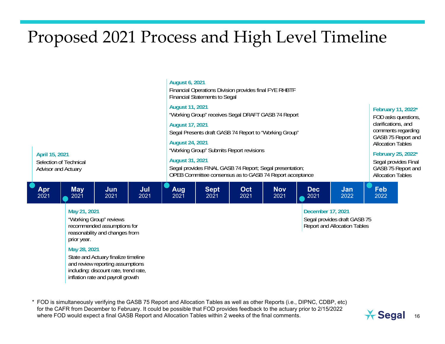# Proposed 2021 Process and High Level Timeline



reasonability and changes from prior year.

#### **May 28, 2021**

State and Actuary finalize timeline and review reporting assumptions including: discount rate, trend rate, inflation rate and payroll growth

\* FOD is simultaneously verifying the GASB 75 Report and Allocation Tables as well as other Reports (i.e., DIPNC, CDBP, etc) for the CAFR from December to February. It could be possible that FOD provides feedback to the actuary prior to 2/15/2022 where FOD would expect a final GASB Report and Allocation Tables within 2 weeks of the final comments.